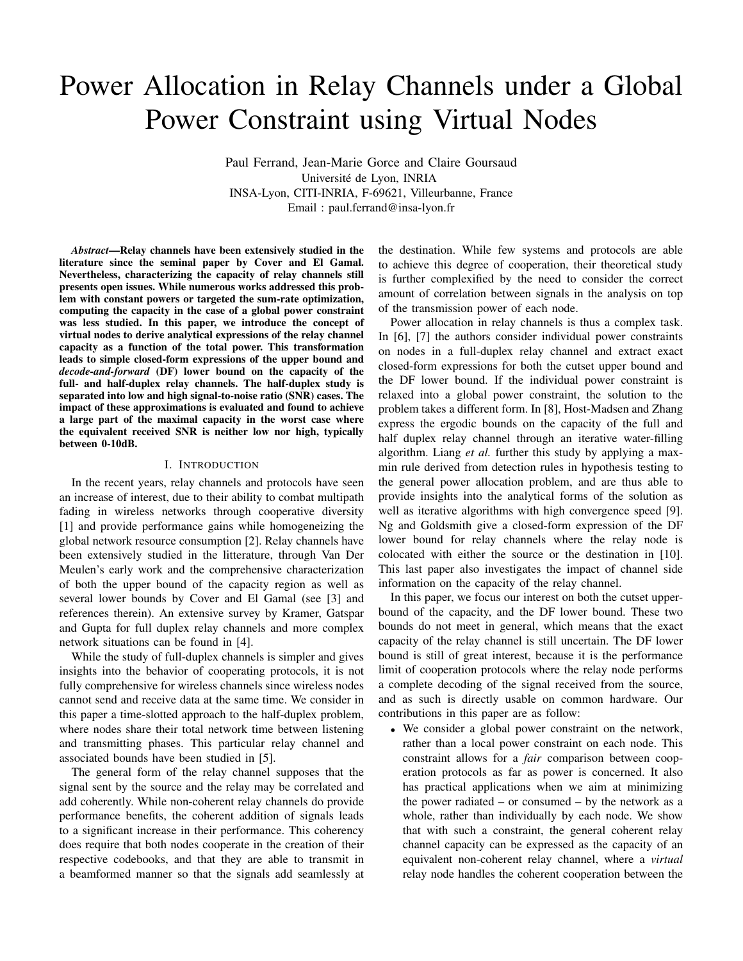# Power Allocation in Relay Channels under a Global Power Constraint using Virtual Nodes

Paul Ferrand, Jean-Marie Gorce and Claire Goursaud Universite de Lyon, INRIA ´ INSA-Lyon, CITI-INRIA, F-69621, Villeurbanne, France Email : paul.ferrand@insa-lyon.fr

*Abstract*—Relay channels have been extensively studied in the literature since the seminal paper by Cover and El Gamal. Nevertheless, characterizing the capacity of relay channels still presents open issues. While numerous works addressed this problem with constant powers or targeted the sum-rate optimization, computing the capacity in the case of a global power constraint was less studied. In this paper, we introduce the concept of virtual nodes to derive analytical expressions of the relay channel capacity as a function of the total power. This transformation leads to simple closed-form expressions of the upper bound and *decode-and-forward* (DF) lower bound on the capacity of the full- and half-duplex relay channels. The half-duplex study is separated into low and high signal-to-noise ratio (SNR) cases. The impact of these approximations is evaluated and found to achieve a large part of the maximal capacity in the worst case where the equivalent received SNR is neither low nor high, typically between 0-10dB.

## I. INTRODUCTION

In the recent years, relay channels and protocols have seen an increase of interest, due to their ability to combat multipath fading in wireless networks through cooperative diversity [1] and provide performance gains while homogeneizing the global network resource consumption [2]. Relay channels have been extensively studied in the litterature, through Van Der Meulen's early work and the comprehensive characterization of both the upper bound of the capacity region as well as several lower bounds by Cover and El Gamal (see [3] and references therein). An extensive survey by Kramer, Gatspar and Gupta for full duplex relay channels and more complex network situations can be found in [4].

While the study of full-duplex channels is simpler and gives insights into the behavior of cooperating protocols, it is not fully comprehensive for wireless channels since wireless nodes cannot send and receive data at the same time. We consider in this paper a time-slotted approach to the half-duplex problem, where nodes share their total network time between listening and transmitting phases. This particular relay channel and associated bounds have been studied in [5].

The general form of the relay channel supposes that the signal sent by the source and the relay may be correlated and add coherently. While non-coherent relay channels do provide performance benefits, the coherent addition of signals leads to a significant increase in their performance. This coherency does require that both nodes cooperate in the creation of their respective codebooks, and that they are able to transmit in a beamformed manner so that the signals add seamlessly at

the destination. While few systems and protocols are able to achieve this degree of cooperation, their theoretical study is further complexified by the need to consider the correct amount of correlation between signals in the analysis on top of the transmission power of each node.

Power allocation in relay channels is thus a complex task. In [6], [7] the authors consider individual power constraints on nodes in a full-duplex relay channel and extract exact closed-form expressions for both the cutset upper bound and the DF lower bound. If the individual power constraint is relaxed into a global power constraint, the solution to the problem takes a different form. In [8], Host-Madsen and Zhang express the ergodic bounds on the capacity of the full and half duplex relay channel through an iterative water-filling algorithm. Liang *et al.* further this study by applying a maxmin rule derived from detection rules in hypothesis testing to the general power allocation problem, and are thus able to provide insights into the analytical forms of the solution as well as iterative algorithms with high convergence speed [9]. Ng and Goldsmith give a closed-form expression of the DF lower bound for relay channels where the relay node is colocated with either the source or the destination in [10]. This last paper also investigates the impact of channel side information on the capacity of the relay channel.

In this paper, we focus our interest on both the cutset upperbound of the capacity, and the DF lower bound. These two bounds do not meet in general, which means that the exact capacity of the relay channel is still uncertain. The DF lower bound is still of great interest, because it is the performance limit of cooperation protocols where the relay node performs a complete decoding of the signal received from the source, and as such is directly usable on common hardware. Our contributions in this paper are as follow:

• We consider a global power constraint on the network, rather than a local power constraint on each node. This constraint allows for a *fair* comparison between cooperation protocols as far as power is concerned. It also has practical applications when we aim at minimizing the power radiated  $-$  or consumed  $-$  by the network as a whole, rather than individually by each node. We show that with such a constraint, the general coherent relay channel capacity can be expressed as the capacity of an equivalent non-coherent relay channel, where a *virtual* relay node handles the coherent cooperation between the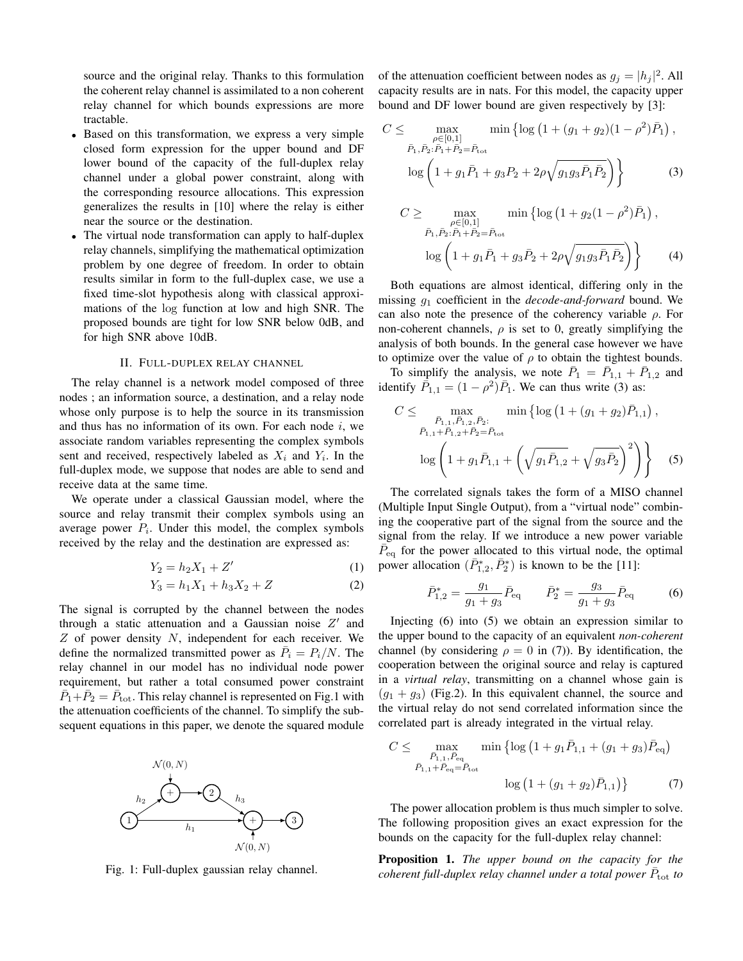source and the original relay. Thanks to this formulation the coherent relay channel is assimilated to a non coherent relay channel for which bounds expressions are more tractable.

- Based on this transformation, we express a very simple closed form expression for the upper bound and DF lower bound of the capacity of the full-duplex relay channel under a global power constraint, along with the corresponding resource allocations. This expression generalizes the results in [10] where the relay is either near the source or the destination.
- The virtual node transformation can apply to half-duplex relay channels, simplifying the mathematical optimization problem by one degree of freedom. In order to obtain results similar in form to the full-duplex case, we use a fixed time-slot hypothesis along with classical approximations of the log function at low and high SNR. The proposed bounds are tight for low SNR below 0dB, and for high SNR above 10dB.

#### II. FULL-DUPLEX RELAY CHANNEL

The relay channel is a network model composed of three nodes ; an information source, a destination, and a relay node whose only purpose is to help the source in its transmission and thus has no information of its own. For each node  $i$ , we associate random variables representing the complex symbols sent and received, respectively labeled as  $X_i$  and  $Y_i$ . In the full-duplex mode, we suppose that nodes are able to send and receive data at the same time.

We operate under a classical Gaussian model, where the source and relay transmit their complex symbols using an average power  $P_i$ . Under this model, the complex symbols received by the relay and the destination are expressed as:

$$
Y_2 = h_2 X_1 + Z'
$$
 (1)

$$
Y_3 = h_1 X_1 + h_3 X_2 + Z \tag{2}
$$

The signal is corrupted by the channel between the nodes through a static attenuation and a Gaussian noise  $Z'$  and  $Z$  of power density  $N$ , independent for each receiver. We define the normalized transmitted power as  $\overline{P}_i = P_i/N$ . The relay channel in our model has no individual node power requirement, but rather a total consumed power constraint  $\overline{P}_1 + \overline{P}_2 = \overline{P}_{\text{tot}}$ . This relay channel is represented on Fig.1 with the attenuation coefficients of the channel. To simplify the subsequent equations in this paper, we denote the squared module



Fig. 1: Full-duplex gaussian relay channel.

of the attenuation coefficient between nodes as  $g_j = |h_j|^2$ . All capacity results are in nats. For this model, the capacity upper bound and DF lower bound are given respectively by [3]:

$$
C \leq \max_{\substack{\rho \in [0,1] \\ \bar{P}_1, \bar{P}_2: \bar{P}_1 + \bar{P}_2 = \bar{P}_{\text{tot}}}} \min \left\{ \log \left( 1 + (g_1 + g_2)(1 - \rho^2) \bar{P}_1 \right), \right\}
$$

$$
\log \left( 1 + g_1 \bar{P}_1 + g_3 P_2 + 2\rho \sqrt{g_1 g_3 \bar{P}_1 \bar{P}_2} \right) \right\}
$$
(3)

$$
C \geq \max_{\substack{\rho \in [0,1] \\ \bar{P}_1, \bar{P}_2: \bar{P}_1 + \bar{P}_2 = \bar{P}_{\text{tot}}}} \min \left\{ \log \left( 1 + g_2 (1 - \rho^2) \bar{P}_1 \right), \right\}
$$

$$
\log \left( 1 + g_1 \bar{P}_1 + g_3 \bar{P}_2 + 2\rho \sqrt{g_1 g_3 \bar{P}_1 \bar{P}_2} \right) \right\} \tag{4}
$$

Both equations are almost identical, differing only in the missing g<sup>1</sup> coefficient in the *decode-and-forward* bound. We can also note the presence of the coherency variable  $\rho$ . For non-coherent channels,  $\rho$  is set to 0, greatly simplifying the analysis of both bounds. In the general case however we have to optimize over the value of  $\rho$  to obtain the tightest bounds.

To simplify the analysis, we note  $\overline{P}_1 = \overline{P}_{1,1} + \overline{P}_{1,2}$  and identify  $\bar{P}_{1,1} = (1 - \rho^2) \bar{P}_1$ . We can thus write (3) as:

$$
C \leq \max_{\bar{P}_{1,1}, \bar{P}_{1,2}, \bar{P}_{2}:} \min \left\{ \log \left( 1 + (g_1 + g_2) \bar{P}_{1,1} \right), \right\}
$$

$$
\log \left( 1 + g_1 \bar{P}_{1,1} + \left( \sqrt{g_1 \bar{P}_{1,2}} + \sqrt{g_3 \bar{P}_2} \right)^2 \right) \right\}
$$
(5)

The correlated signals takes the form of a MISO channel (Multiple Input Single Output), from a "virtual node" combining the cooperative part of the signal from the source and the signal from the relay. If we introduce a new power variable  $\overline{P}_{\text{eq}}$  for the power allocated to this virtual node, the optimal power allocation  $(\bar{P}_{1,2}^*, \bar{P}_2^*)$  is known to be the [11]:

$$
\bar{P}_{1,2}^{*} = \frac{g_1}{g_1 + g_3} \bar{P}_{\text{eq}} \qquad \bar{P}_2^{*} = \frac{g_3}{g_1 + g_3} \bar{P}_{\text{eq}} \tag{6}
$$

Injecting (6) into (5) we obtain an expression similar to the upper bound to the capacity of an equivalent *non-coherent* channel (by considering  $\rho = 0$  in (7)). By identification, the cooperation between the original source and relay is captured in a *virtual relay*, transmitting on a channel whose gain is  $(g_1 + g_3)$  (Fig.2). In this equivalent channel, the source and the virtual relay do not send correlated information since the correlated part is already integrated in the virtual relay.

$$
C \leq \max_{\bar{P}_{1,1}, \bar{P}_{\text{eq}}} \min \left\{ \log \left( 1 + g_1 \bar{P}_{1,1} + (g_1 + g_3) \bar{P}_{\text{eq}} \right) \right\}
$$

$$
\bar{P}_{1,1} + \bar{P}_{\text{eq}} = \bar{P}_{\text{tot}}
$$

$$
\log \left( 1 + (g_1 + g_2) \bar{P}_{1,1} \right) \}
$$
(7)

The power allocation problem is thus much simpler to solve. The following proposition gives an exact expression for the bounds on the capacity for the full-duplex relay channel:

Proposition 1. *The upper bound on the capacity for the* coherent full-duplex relay channel under a total power  $\bar{P}_{\text{tot}}$  to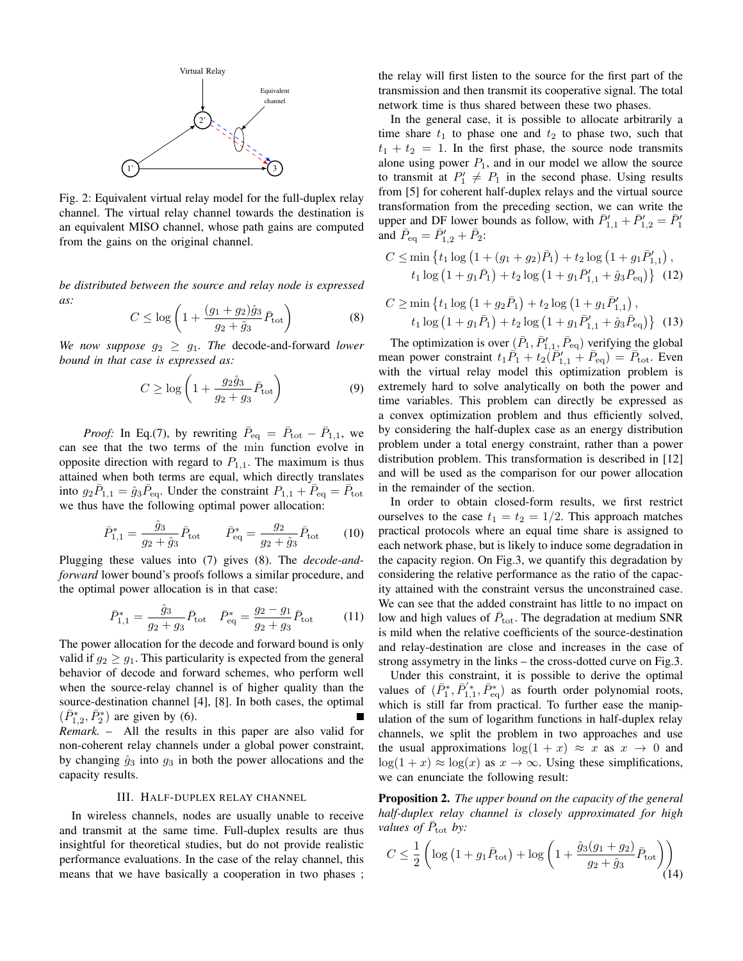

Fig. 2: Equivalent virtual relay model for the full-duplex relay channel. The virtual relay channel towards the destination is an equivalent MISO channel, whose path gains are computed from the gains on the original channel.

*be distributed between the source and relay node is expressed as:*

$$
C \le \log\left(1 + \frac{(g_1 + g_2)\hat{g}_3}{g_2 + \hat{g}_3}\bar{P}_{\text{tot}}\right) \tag{8}
$$

*We now suppose*  $g_2 \geq g_1$ *. The decode-and-forward lower bound in that case is expressed as:*

$$
C \ge \log\left(1 + \frac{g_2 \hat{g}_3}{g_2 + g_3} \bar{P}_{\text{tot}}\right) \tag{9}
$$

*Proof:* In Eq.(7), by rewriting  $\bar{P}_{\text{eq}} = \bar{P}_{\text{tot}} - \bar{P}_{1,1}$ , we can see that the two terms of the min function evolve in opposite direction with regard to  $P_{1,1}$ . The maximum is thus attained when both terms are equal, which directly translates into  $g_2 \bar{P}_{1,1} = \hat{g}_3 \bar{P}_{eq}$ . Under the constraint  $P_{1,1} + \bar{P}_{eq} = \bar{P}_{tot}$ we thus have the following optimal power allocation:

$$
\bar{P}_{1,1}^* = \frac{\hat{g}_3}{g_2 + \hat{g}_3} \bar{P}_{\text{tot}} \qquad \bar{P}_{\text{eq}}^* = \frac{g_2}{g_2 + \hat{g}_3} \bar{P}_{\text{tot}} \qquad (10)
$$

Plugging these values into (7) gives (8). The *decode-andforward* lower bound's proofs follows a similar procedure, and the optimal power allocation is in that case:

$$
\bar{P}_{1,1}^* = \frac{\hat{g}_3}{g_2 + g_3} \bar{P}_{\text{tot}} \quad \bar{P}_{\text{eq}}^* = \frac{g_2 - g_1}{g_2 + g_3} \bar{P}_{\text{tot}} \tag{11}
$$

The power allocation for the decode and forward bound is only valid if  $g_2 \geq g_1$ . This particularity is expected from the general behavior of decode and forward schemes, who perform well when the source-relay channel is of higher quality than the source-destination channel [4], [8]. In both cases, the optimal  $(\bar{P}_{1,2}^*, \bar{P}_2^*)$  are given by (6). *Remark.* – All the results in this paper are also valid for non-coherent relay channels under a global power constraint, by changing  $\hat{g}_3$  into  $g_3$  in both the power allocations and the capacity results.

### III. HALF-DUPLEX RELAY CHANNEL

In wireless channels, nodes are usually unable to receive and transmit at the same time. Full-duplex results are thus insightful for theoretical studies, but do not provide realistic performance evaluations. In the case of the relay channel, this means that we have basically a cooperation in two phases ;

the relay will first listen to the source for the first part of the transmission and then transmit its cooperative signal. The total network time is thus shared between these two phases.

In the general case, it is possible to allocate arbitrarily a time share  $t_1$  to phase one and  $t_2$  to phase two, such that  $t_1 + t_2 = 1$ . In the first phase, the source node transmits alone using power  $P_1$ , and in our model we allow the source to transmit at  $P'_1 \neq P_1$  in the second phase. Using results from [5] for coherent half-duplex relays and the virtual source transformation from the preceding section, we can write the upper and DF lower bounds as follow, with  $\overline{P'_{1,1}} + \overline{P'_{1,2}} = \overline{P'_1}$ and  $\bar{P}_{\text{eq}} = \bar{P}'_{1,2} + \bar{P}_2$ :

$$
C \le \min \left\{ t_1 \log \left( 1 + (g_1 + g_2) \bar{P}_1 \right) + t_2 \log \left( 1 + g_1 \bar{P}'_{1,1} \right), \right\}
$$
  

$$
t_1 \log \left( 1 + g_1 \bar{P}_1 \right) + t_2 \log \left( 1 + g_1 \bar{P}'_{1,1} + \hat{g}_3 \bar{P}_{\text{eq}} \right) \right\}
$$
(12)

$$
C \ge \min \left\{ t_1 \log \left( 1 + g_2 \bar{P}_1 \right) + t_2 \log \left( 1 + g_1 \bar{P}'_{1,1} \right), \right\}
$$
  

$$
t_1 \log \left( 1 + g_1 \bar{P}_1 \right) + t_2 \log \left( 1 + g_1 \bar{P}'_{1,1} + \hat{g}_3 \bar{P}_{\text{eq}} \right) \right\}
$$
(13)

The optimization is over  $(\bar{P}_1, \bar{P}'_{1,1}, \bar{P}_{eq})$  verifying the global mean power constraint  $t_1 \overline{P}_1 + t_2 (\overline{P}'_{1,1} + \overline{P}_{eq}) = \overline{P}_{tot}$ . Even with the virtual relay model this optimization problem is extremely hard to solve analytically on both the power and time variables. This problem can directly be expressed as a convex optimization problem and thus efficiently solved, by considering the half-duplex case as an energy distribution problem under a total energy constraint, rather than a power distribution problem. This transformation is described in [12] and will be used as the comparison for our power allocation in the remainder of the section.

In order to obtain closed-form results, we first restrict ourselves to the case  $t_1 = t_2 = 1/2$ . This approach matches practical protocols where an equal time share is assigned to each network phase, but is likely to induce some degradation in the capacity region. On Fig.3, we quantify this degradation by considering the relative performance as the ratio of the capacity attained with the constraint versus the unconstrained case. We can see that the added constraint has little to no impact on low and high values of  $\bar{P}_{\text{tot}}$ . The degradation at medium SNR is mild when the relative coefficients of the source-destination and relay-destination are close and increases in the case of strong assymetry in the links – the cross-dotted curve on Fig.3.

Under this constraint, it is possible to derive the optimal values of  $(\bar{P}_1^*, \bar{P}_{1,1}^{'}, \bar{P}_{eq}^*)$  as fourth order polynomial roots, which is still far from practical. To further ease the manipulation of the sum of logarithm functions in half-duplex relay channels, we split the problem in two approaches and use the usual approximations  $\log(1 + x) \approx x$  as  $x \to 0$  and  $\log(1 + x) \approx \log(x)$  as  $x \to \infty$ . Using these simplifications, we can enunciate the following result:

Proposition 2. *The upper bound on the capacity of the general half-duplex relay channel is closely approximated for high values of*  $\bar{P}_{\text{tot}}$  *by:* 

$$
C \le \frac{1}{2} \left( \log \left( 1 + g_1 \bar{P}_{\text{tot}} \right) + \log \left( 1 + \frac{\hat{g}_3(g_1 + g_2)}{g_2 + \hat{g}_3} \bar{P}_{\text{tot}} \right) \right)
$$
(14)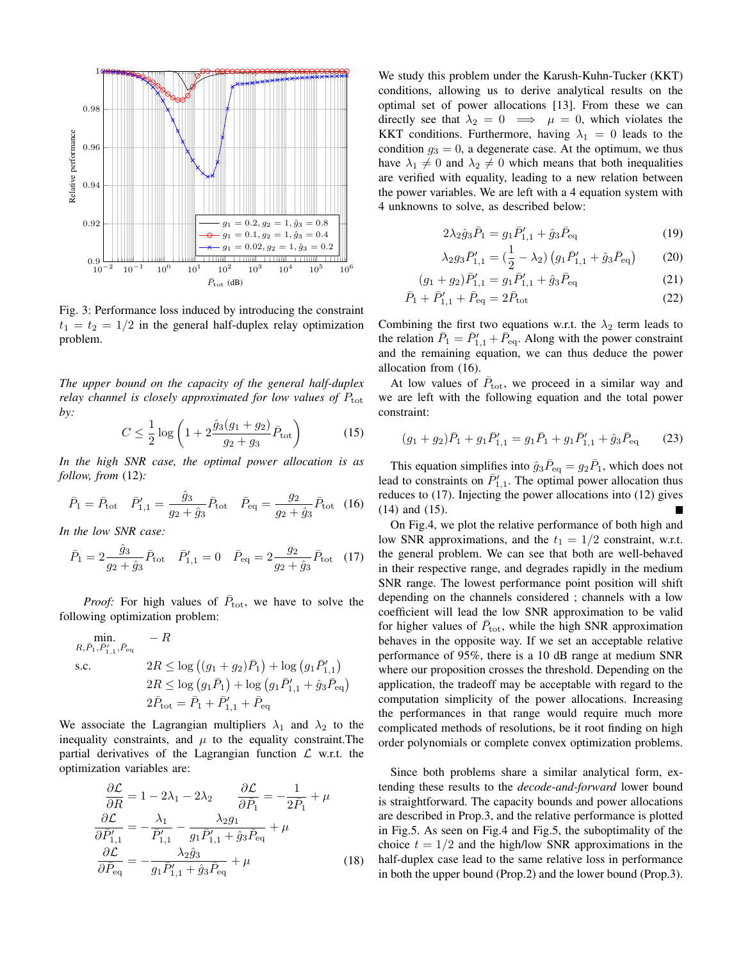

Fig. 3: Performance loss induced by introducing the constraint  $t_1 = t_2 = 1/2$  in the general half-duplex relay optimization problem.

*The upper bound on the capacity of the general half-duplex relay channel is closely approximated for low values of*  $P_{\text{tot}}$ *by:*

$$
C \le \frac{1}{2} \log \left( 1 + 2 \frac{\hat{g}_3(g_1 + g_2)}{g_2 + g_3} \bar{P}_{\text{tot}} \right) \tag{15}
$$

*In the high SNR case, the optimal power allocation is as follow, from* (12)*:*

$$
\bar{P}_1 = \bar{P}_{\text{tot}} \quad \bar{P}'_{1,1} = \frac{\hat{g}_3}{g_2 + \hat{g}_3} \bar{P}_{\text{tot}} \quad \bar{P}_{\text{eq}} = \frac{g_2}{g_2 + \hat{g}_3} \bar{P}_{\text{tot}} \quad (16)
$$

*In the low SNR case:*

$$
\bar{P}_1 = 2 \frac{\hat{g}_3}{g_2 + \hat{g}_3} \bar{P}_{\text{tot}} \quad \bar{P}'_{1,1} = 0 \quad \bar{P}_{\text{eq}} = 2 \frac{g_2}{g_2 + \hat{g}_3} \bar{P}_{\text{tot}} \quad (17)
$$

*Proof:* For high values of  $\bar{P}_{\text{tot}}$ , we have to solve the following optimization problem:

min. 
$$
-R
$$
  
\n*R, P<sub>1</sub>, P'<sub>1,1</sub>, P<sub>eq</sub>*  
\ns.c.  $2R \le \log ((g_1 + g_2)\bar{P}_1) + \log (g_1 \bar{P}'_{1,1})$   
\n $2R \le \log (g_1 \bar{P}_1) + \log (g_1 \bar{P}'_{1,1} + \hat{g}_3 \bar{P}_{eq})$   
\n $2\bar{P}_{\text{tot}} = \bar{P}_1 + \bar{P}'_{1,1} + \bar{P}_{eq}$ 

We associate the Lagrangian multipliers  $\lambda_1$  and  $\lambda_2$  to the inequality constraints, and  $\mu$  to the equality constraint. The partial derivatives of the Lagrangian function  $\mathcal L$  w.r.t. the optimization variables are:

$$
\frac{\partial \mathcal{L}}{\partial R} = 1 - 2\lambda_1 - 2\lambda_2 \qquad \frac{\partial \mathcal{L}}{\partial \bar{P}_1} = -\frac{1}{2\bar{P}_1} + \mu
$$

$$
\frac{\partial \mathcal{L}}{\partial \bar{P}'_{1,1}} = -\frac{\lambda_1}{\bar{P}'_{1,1}} - \frac{\lambda_2 g_1}{g_1 \bar{P}'_{1,1} + \hat{g}_3 \bar{P}_{eq}} + \mu
$$

$$
\frac{\partial \mathcal{L}}{\partial \bar{P}_{eq}} = -\frac{\lambda_2 \hat{g}_3}{g_1 \bar{P}'_{1,1} + \hat{g}_3 \bar{P}_{eq}} + \mu
$$
(18)

We study this problem under the Karush-Kuhn-Tucker (KKT) conditions, allowing us to derive analytical results on the optimal set of power allocations [13]. From these we can directly see that  $\lambda_2 = 0 \implies \mu = 0$ , which violates the KKT conditions. Furthermore, having  $\lambda_1 = 0$  leads to the condition  $g_3 = 0$ , a degenerate case. At the optimum, we thus have  $\lambda_1 \neq 0$  and  $\lambda_2 \neq 0$  which means that both inequalities are verified with equality, leading to a new relation between the power variables. We are left with a 4 equation system with 4 unknowns to solve, as described below:

$$
2\lambda_2 \hat{g}_3 \bar{P}_1 = g_1 \bar{P}'_{1,1} + \hat{g}_3 \bar{P}_{\text{eq}} \tag{19}
$$

$$
\lambda_2 g_3 \bar{P}'_{1,1} = \left(\frac{1}{2} - \lambda_2\right) \left(g_1 \bar{P}'_{1,1} + \hat{g}_3 \bar{P}_{\text{eq}}\right) \tag{20}
$$

$$
(g_1 + g_2)\bar{P}'_{1,1} = g_1 \bar{P}'_{1,1} + \hat{g}_3 \bar{P}_{\text{eq}} \tag{21}
$$

$$
\bar{P}_1 + \bar{P}'_{1,1} + \bar{P}_{\text{eq}} = 2\bar{P}_{\text{tot}} \tag{22}
$$

Combining the first two equations w.r.t. the  $\lambda_2$  term leads to the relation  $\bar{P}_1 = \bar{P}'_{1,1} + \bar{P}_{eq}$ . Along with the power constraint and the remaining equation, we can thus deduce the power allocation from (16).

At low values of  $\bar{P}_{\text{tot}}$ , we proceed in a similar way and we are left with the following equation and the total power constraint:

$$
(g_1 + g_2)\bar{P}_1 + g_1\bar{P}'_{1,1} = g_1\bar{P}_1 + g_1\bar{P}'_{1,1} + \hat{g}_3\bar{P}_{\text{eq}} \tag{23}
$$

This equation simplifies into  $\hat{g}_3 \bar{P}_{\text{eq}} = g_2 \bar{P}_1$ , which does not lead to constraints on  $\bar{P}'_{1,1}$ . The optimal power allocation thus reduces to (17). Injecting the power allocations into (12) gives (14) and (15).

On Fig.4, we plot the relative performance of both high and low SNR approximations, and the  $t_1 = 1/2$  constraint, w.r.t. the general problem. We can see that both are well-behaved in their respective range, and degrades rapidly in the medium SNR range. The lowest performance point position will shift depending on the channels considered ; channels with a low coefficient will lead the low SNR approximation to be valid for higher values of  $\bar{P}_{\text{tot}}$ , while the high SNR approximation behaves in the opposite way. If we set an acceptable relative performance of 95%, there is a 10 dB range at medium SNR where our proposition crosses the threshold. Depending on the application, the tradeoff may be acceptable with regard to the computation simplicity of the power allocations. Increasing the performances in that range would require much more complicated methods of resolutions, be it root finding on high order polynomials or complete convex optimization problems.

Since both problems share a similar analytical form, extending these results to the *decode-and-forward* lower bound is straightforward. The capacity bounds and power allocations are described in Prop.3, and the relative performance is plotted in Fig.5. As seen on Fig.4 and Fig.5, the suboptimality of the choice  $t = 1/2$  and the high/low SNR approximations in the half-duplex case lead to the same relative loss in performance in both the upper bound (Prop.2) and the lower bound (Prop.3).